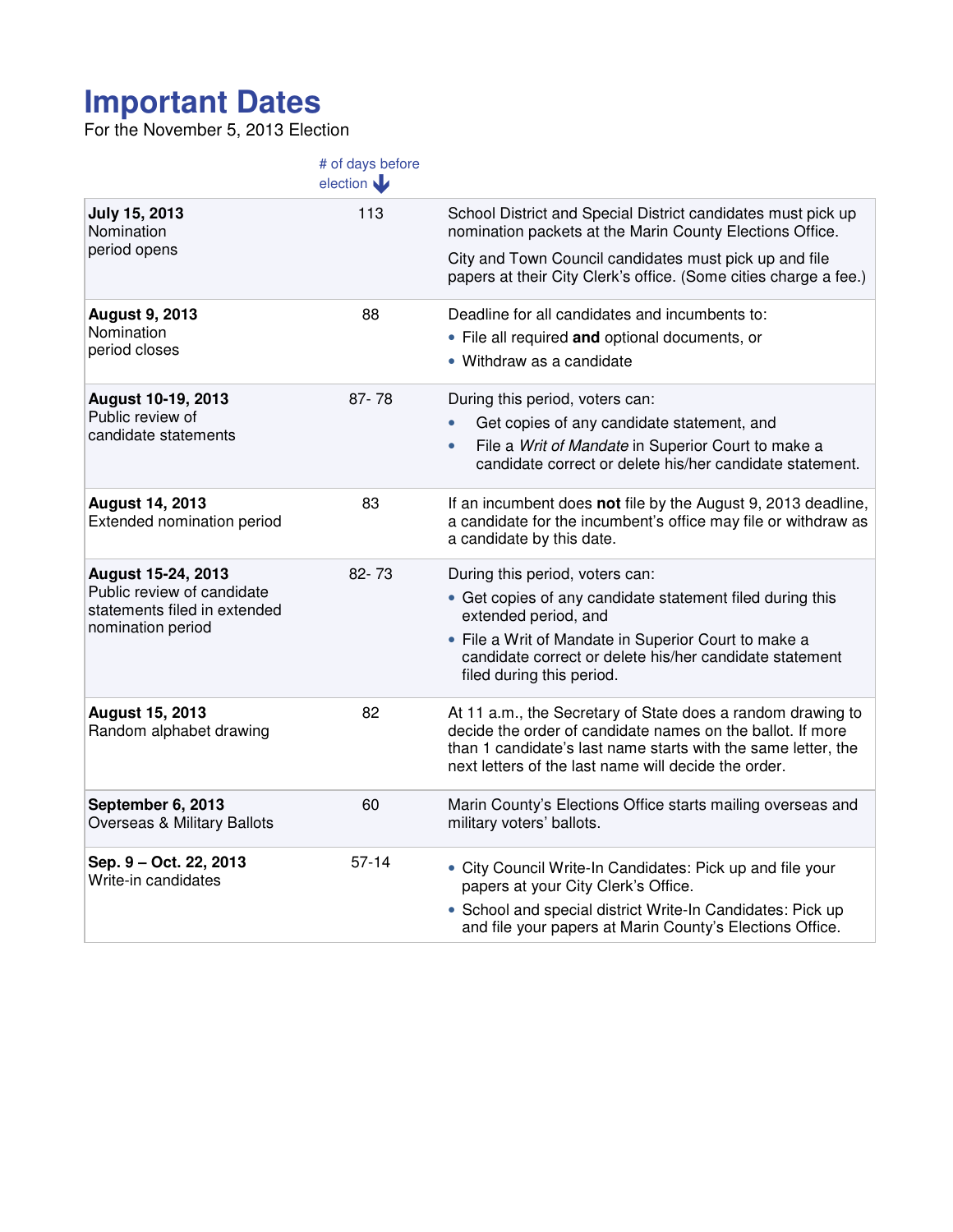## **Important Dates**

For the November 5, 2013 Election

|                                                                                                       | # of days before<br>election |                                                                                                                                                                                                                                                    |
|-------------------------------------------------------------------------------------------------------|------------------------------|----------------------------------------------------------------------------------------------------------------------------------------------------------------------------------------------------------------------------------------------------|
| July 15, 2013<br>Nomination                                                                           | 113                          | School District and Special District candidates must pick up<br>nomination packets at the Marin County Elections Office.                                                                                                                           |
| period opens                                                                                          |                              | City and Town Council candidates must pick up and file<br>papers at their City Clerk's office. (Some cities charge a fee.)                                                                                                                         |
| <b>August 9, 2013</b><br>Nomination<br>period closes                                                  | 88                           | Deadline for all candidates and incumbents to:                                                                                                                                                                                                     |
|                                                                                                       |                              | • File all required and optional documents, or                                                                                                                                                                                                     |
|                                                                                                       |                              | • Withdraw as a candidate                                                                                                                                                                                                                          |
| August 10-19, 2013<br>Public review of<br>candidate statements                                        | $87 - 78$                    | During this period, voters can:                                                                                                                                                                                                                    |
|                                                                                                       |                              | Get copies of any candidate statement, and                                                                                                                                                                                                         |
|                                                                                                       |                              | File a Writ of Mandate in Superior Court to make a<br>$\bullet$<br>candidate correct or delete his/her candidate statement.                                                                                                                        |
| <b>August 14, 2013</b><br>Extended nomination period                                                  | 83                           | If an incumbent does not file by the August 9, 2013 deadline,<br>a candidate for the incumbent's office may file or withdraw as<br>a candidate by this date.                                                                                       |
| August 15-24, 2013<br>Public review of candidate<br>statements filed in extended<br>nomination period | 82-73                        | During this period, voters can:                                                                                                                                                                                                                    |
|                                                                                                       |                              | • Get copies of any candidate statement filed during this<br>extended period, and                                                                                                                                                                  |
|                                                                                                       |                              | • File a Writ of Mandate in Superior Court to make a<br>candidate correct or delete his/her candidate statement<br>filed during this period.                                                                                                       |
| <b>August 15, 2013</b><br>Random alphabet drawing                                                     | 82                           | At 11 a.m., the Secretary of State does a random drawing to<br>decide the order of candidate names on the ballot. If more<br>than 1 candidate's last name starts with the same letter, the<br>next letters of the last name will decide the order. |
| September 6, 2013<br>Overseas & Military Ballots                                                      | 60                           | Marin County's Elections Office starts mailing overseas and<br>military voters' ballots.                                                                                                                                                           |
| Sep. 9 - Oct. 22, 2013<br>Write-in candidates                                                         | $57 - 14$                    | • City Council Write-In Candidates: Pick up and file your<br>papers at your City Clerk's Office.                                                                                                                                                   |
|                                                                                                       |                              | • School and special district Write-In Candidates: Pick up<br>and file your papers at Marin County's Elections Office.                                                                                                                             |